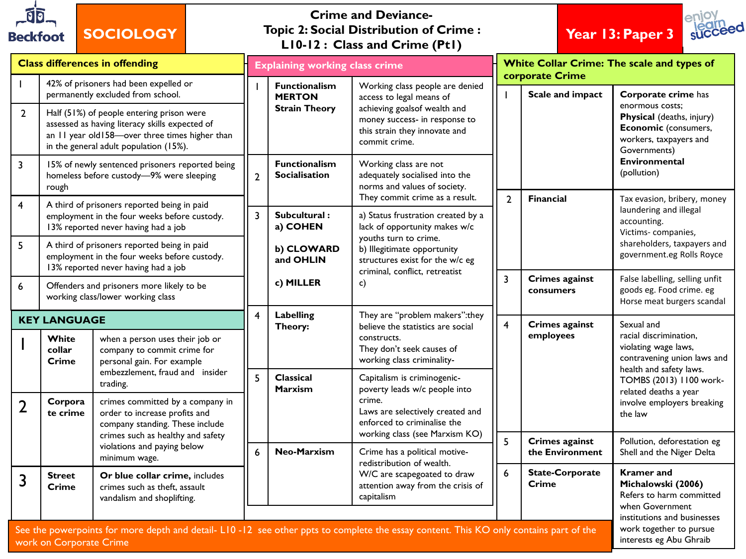

## **SOCIOLOGY**

## **Crime and Deviance-Topic 2: Social Distribution of Crime : L10-12 : Class and Crime (Pt1)**





| <b>Class differences in offending</b>                                                                                                                                                                                                                 |                                                                                                                                                                                                                                                                       |                                                                                                                                 |                 | <b>Explaining working class crime</b>                         |                                                                                                                                                                                                                                          |                         | White Collar Crime: The scale and types of<br>corporate Crime |                                                                                                                                                                              |  |  |
|-------------------------------------------------------------------------------------------------------------------------------------------------------------------------------------------------------------------------------------------------------|-----------------------------------------------------------------------------------------------------------------------------------------------------------------------------------------------------------------------------------------------------------------------|---------------------------------------------------------------------------------------------------------------------------------|-----------------|---------------------------------------------------------------|------------------------------------------------------------------------------------------------------------------------------------------------------------------------------------------------------------------------------------------|-------------------------|---------------------------------------------------------------|------------------------------------------------------------------------------------------------------------------------------------------------------------------------------|--|--|
| $\overline{2}$                                                                                                                                                                                                                                        | 42% of prisoners had been expelled or<br>permanently excluded from school.<br>Half (51%) of people entering prison were<br>assessed as having literacy skills expected of<br>an 11 year old158-over three times higher than<br>in the general adult population (15%). |                                                                                                                                 |                 | <b>Functionalism</b><br><b>MERTON</b><br><b>Strain Theory</b> | Working class people are denied<br>access to legal means of<br>achieving goalsof wealth and<br>money success- in response to<br>this strain they innovate and<br>commit crime.                                                           |                         | Scale and impact                                              | Corporate crime has<br>enormous costs:<br>Physical (deaths, injury)<br>Economic (consumers,<br>workers, taxpayers and<br>Governments)<br><b>Environmental</b><br>(pollution) |  |  |
| $\overline{\mathbf{3}}$                                                                                                                                                                                                                               | 15% of newly sentenced prisoners reported being<br>homeless before custody-9% were sleeping<br>rough                                                                                                                                                                  |                                                                                                                                 | $\overline{2}$  | <b>Functionalism</b><br><b>Socialisation</b>                  | Working class are not<br>adequately socialised into the<br>norms and values of society.                                                                                                                                                  |                         |                                                               |                                                                                                                                                                              |  |  |
| $\overline{4}$                                                                                                                                                                                                                                        | A third of prisoners reported being in paid<br>employment in the four weeks before custody.<br>13% reported never having had a job                                                                                                                                    |                                                                                                                                 | $\overline{3}$  | Subcultural:<br>a) COHEN                                      | They commit crime as a result.<br>a) Status frustration created by a<br>lack of opportunity makes w/c<br>youths turn to crime.<br>b) Illegitimate opportunity<br>structures exist for the w/c eg<br>criminal, conflict, retreatist<br>c) | $\overline{2}$          | Financial                                                     | Tax evasion, bribery, money<br>laundering and illegal<br>accounting.<br>Victims-companies,<br>shareholders, taxpayers and<br>government.eg Rolls Royce                       |  |  |
| 5                                                                                                                                                                                                                                                     | A third of prisoners reported being in paid<br>employment in the four weeks before custody.<br>13% reported never having had a job                                                                                                                                    |                                                                                                                                 |                 | b) CLOWARD<br>and OHLIN                                       |                                                                                                                                                                                                                                          |                         |                                                               |                                                                                                                                                                              |  |  |
| 6                                                                                                                                                                                                                                                     | Offenders and prisoners more likely to be<br>working class/lower working class                                                                                                                                                                                        |                                                                                                                                 |                 | c) MILLER                                                     |                                                                                                                                                                                                                                          | $\overline{\mathbf{3}}$ | <b>Crimes against</b><br>consumers                            | False labelling, selling unfit<br>goods eg. Food crime. eg<br>Horse meat burgers scandal                                                                                     |  |  |
| <b>KEY LANGUAGE</b>                                                                                                                                                                                                                                   |                                                                                                                                                                                                                                                                       |                                                                                                                                 | $\overline{4}$  | Labelling<br>Theory:                                          | They are "problem makers": they<br>believe the statistics are social                                                                                                                                                                     | $\overline{4}$          | <b>Crimes against</b>                                         | Sexual and                                                                                                                                                                   |  |  |
|                                                                                                                                                                                                                                                       | White<br>collar<br><b>Crime</b>                                                                                                                                                                                                                                       | when a person uses their job or<br>company to commit crime for<br>personal gain. For example<br>embezzlement, fraud and insider |                 |                                                               | constructs.<br>They don't seek causes of<br>working class criminality-                                                                                                                                                                   |                         | employees                                                     | racial discrimination,<br>violating wage laws,<br>contravening union laws and<br>health and safety laws.                                                                     |  |  |
| $\overline{2}$                                                                                                                                                                                                                                        | Corpora<br>te crime                                                                                                                                                                                                                                                   | trading.<br>crimes committed by a company in<br>order to increase profits and<br>company standing. These include                | $\overline{5}$  | <b>Classical</b><br><b>Marxism</b>                            | Capitalism is criminogenic-<br>poverty leads w/c people into<br>crime.<br>Laws are selectively created and<br>enforced to criminalise the                                                                                                |                         |                                                               | TOMBS (2013) 1100 work-<br>related deaths a year<br>involve employers breaking<br>the law                                                                                    |  |  |
|                                                                                                                                                                                                                                                       |                                                                                                                                                                                                                                                                       | crimes such as healthy and safety<br>violations and paying below<br>minimum wage.                                               | $6\overline{6}$ | Neo-Marxism                                                   | working class (see Marxism KO)<br>Crime has a political motive-                                                                                                                                                                          | 5                       | <b>Crimes against</b><br>the Environment                      | Pollution, deforestation eg<br>Shell and the Niger Delta                                                                                                                     |  |  |
| 3                                                                                                                                                                                                                                                     | <b>Street</b><br>Crime                                                                                                                                                                                                                                                | Or blue collar crime, includes<br>crimes such as theft, assault<br>vandalism and shoplifting.                                   |                 |                                                               | redistribution of wealth.<br>W/C are scapegoated to draw<br>attention away from the crisis of<br>capitalism                                                                                                                              | $6\phantom{a}$          | <b>State-Corporate</b><br>Crime                               | <b>Kramer</b> and<br>Michalowski (2006)<br>Refers to harm committed<br>when Government                                                                                       |  |  |
| institutions and businesses<br>work together to pursue<br>See the powerpoints for more depth and detail- L10-12 see other ppts to complete the essay content. This KO only contains part of the<br>interests eg Abu Ghraib<br>work on Corporate Crime |                                                                                                                                                                                                                                                                       |                                                                                                                                 |                 |                                                               |                                                                                                                                                                                                                                          |                         |                                                               |                                                                                                                                                                              |  |  |